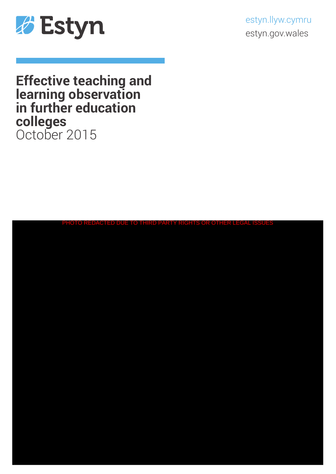

estyn.llyw.cymru estyn.gov.wales

# **Effective teaching and learning observation in further education colleges** October 2015

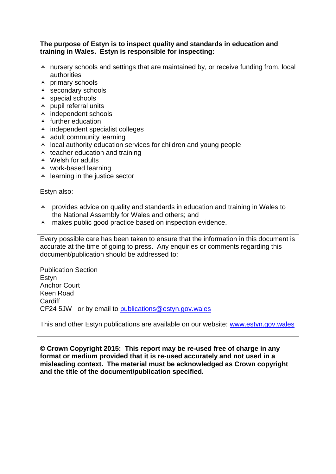#### **The purpose of Estyn is to inspect quality and standards in education and training in Wales. Estyn is responsible for inspecting:**

- $\lambda$  nursery schools and settings that are maintained by, or receive funding from, local authorities
- $\overline{\phantom{a}}$  primary schools
- secondary schools
- $\triangle$  special schools
- $\lambda$  pupil referral units
- $\overline{\phantom{a}}$  independent schools
- $\triangle$  further education
- $\lambda$  independent specialist colleges
- $\triangle$  adult community learning
- $\lambda$  local authority education services for children and young people
- $\triangle$  teacher education and training
- $\triangle$  Welsh for adults
- work-based learning
- $\triangle$  learning in the justice sector

Estyn also:

- A provides advice on quality and standards in education and training in Wales to the National Assembly for Wales and others; and
- A makes public good practice based on inspection evidence.

Every possible care has been taken to ensure that the information in this document is accurate at the time of going to press. Any enquiries or comments regarding this document/publication should be addressed to:

Publication Section Estyn Anchor Court Keen Road **Cardiff** CF24 5JW or by email to [publications@estyn.gov.wales](mailto:publications@estyn.gov.wales)

This and other Estyn publications are available on our website: [www.estyn.gov.wales](http://www.estyn.gov.wales/)

**© Crown Copyright 2015: This report may be re-used free of charge in any format or medium provided that it is re-used accurately and not used in a misleading context. The material must be acknowledged as Crown copyright and the title of the document/publication specified.**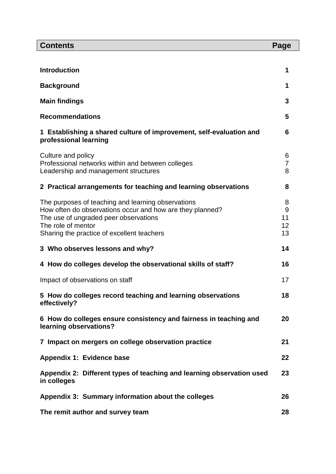| <b>Contents</b>                                                                              | Page     |  |  |
|----------------------------------------------------------------------------------------------|----------|--|--|
|                                                                                              |          |  |  |
| <b>Introduction</b>                                                                          | 1        |  |  |
| <b>Background</b>                                                                            |          |  |  |
| <b>Main findings</b>                                                                         |          |  |  |
| <b>Recommendations</b>                                                                       | 5        |  |  |
| 1 Establishing a shared culture of improvement, self-evaluation and<br>professional learning | 6        |  |  |
| Culture and policy                                                                           | 6        |  |  |
| Professional networks within and between colleges                                            | 7        |  |  |
| Leadership and management structures                                                         | 8        |  |  |
| 2 Practical arrangements for teaching and learning observations                              | 8        |  |  |
| The purposes of teaching and learning observations                                           | 8        |  |  |
| How often do observations occur and how are they planned?                                    | 9        |  |  |
| The use of ungraded peer observations<br>The role of mentor                                  | 11<br>12 |  |  |
| Sharing the practice of excellent teachers                                                   | 13       |  |  |
| 3 Who observes lessons and why?                                                              | 14       |  |  |
| 4 How do colleges develop the observational skills of staff?                                 | 16       |  |  |
| Impact of observations on staff                                                              |          |  |  |
| 5 How do colleges record teaching and learning observations<br>effectively?                  | 18       |  |  |
| 6 How do colleges ensure consistency and fairness in teaching and<br>learning observations?  | 20       |  |  |
| 7 Impact on mergers on college observation practice                                          | 21       |  |  |
| Appendix 1: Evidence base                                                                    | 22       |  |  |
| Appendix 2: Different types of teaching and learning observation used<br>in colleges         | 23       |  |  |
| Appendix 3: Summary information about the colleges                                           | 26       |  |  |
| The remit author and survey team                                                             |          |  |  |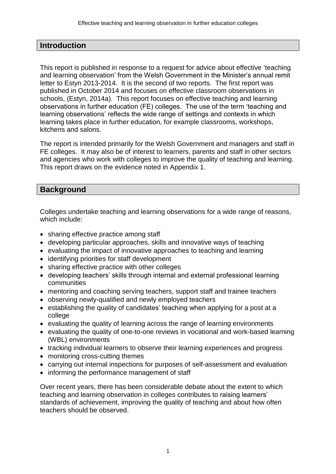#### **Introduction**

This report is published in response to a request for advice about effective 'teaching and learning observation' from the Welsh Government in the Minister's annual remit letter to Estyn 2013-2014. It is the second of two reports. The first report was published in October 2014 and focuses on effective classroom observations in schools, (Estyn, 2014a). This report focuses on effective teaching and learning observations in further education (FE) colleges. The use of the term 'teaching and learning observations' reflects the wide range of settings and contexts in which learning takes place in further education, for example classrooms, workshops, kitchens and salons.

The report is intended primarily for the Welsh Government and managers and staff in FE colleges. It may also be of interest to learners, parents and staff in other sectors and agencies who work with colleges to improve the quality of teaching and learning. This report draws on the evidence noted in Appendix 1.

#### **Background**

Colleges undertake teaching and learning observations for a wide range of reasons, which include:

- sharing effective practice among staff
- developing particular approaches, skills and innovative ways of teaching
- evaluating the impact of innovative approaches to teaching and learning
- identifying priorities for staff development
- sharing effective practice with other colleges
- developing teachers' skills through internal and external professional learning communities
- mentoring and coaching serving teachers, support staff and trainee teachers
- observing newly-qualified and newly employed teachers
- establishing the quality of candidates' teaching when applying for a post at a college
- evaluating the quality of learning across the range of learning environments
- evaluating the quality of one-to-one reviews in vocational and work-based learning (WBL) environments
- tracking individual learners to observe their learning experiences and progress
- monitoring cross-cutting themes
- carrying out internal inspections for purposes of self-assessment and evaluation
- informing the performance management of staff

Over recent years, there has been considerable debate about the extent to which teaching and learning observation in colleges contributes to raising learners' standards of achievement, improving the quality of teaching and about how often teachers should be observed.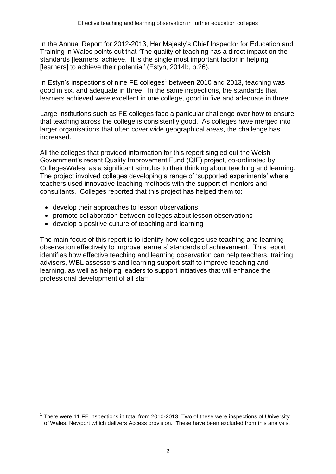In the Annual Report for 2012-2013, Her Majesty's Chief Inspector for Education and Training in Wales points out that 'The quality of teaching has a direct impact on the standards [learners] achieve. It is the single most important factor in helping [learners] to achieve their potential' (Estyn, 2014b, p.26)*.*

In Estyn's inspections of nine FE colleges<sup>1</sup> between 2010 and 2013, teaching was good in six, and adequate in three. In the same inspections, the standards that learners achieved were excellent in one college, good in five and adequate in three.

Large institutions such as FE colleges face a particular challenge over how to ensure that teaching across the college is consistently good. As colleges have merged into larger organisations that often cover wide geographical areas, the challenge has increased.

All the colleges that provided information for this report singled out the Welsh Government's recent Quality Improvement Fund (QIF) project, co-ordinated by CollegesWales, as a significant stimulus to their thinking about teaching and learning. The project involved colleges developing a range of 'supported experiments' where teachers used innovative teaching methods with the support of mentors and consultants. Colleges reported that this project has helped them to:

develop their approaches to lesson observations

 $\overline{a}$ 

- promote collaboration between colleges about lesson observations
- develop a positive culture of teaching and learning

The main focus of this report is to identify how colleges use teaching and learning observation effectively to improve learners' standards of achievement. This report identifies how effective teaching and learning observation can help teachers, training advisers, WBL assessors and learning support staff to improve teaching and learning, as well as helping leaders to support initiatives that will enhance the professional development of all staff.

<sup>1</sup> There were 11 FE inspections in total from 2010-2013. Two of these were inspections of University of Wales, Newport which delivers Access provision. These have been excluded from this analysis.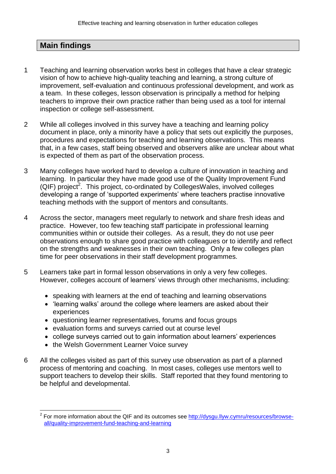## **Main findings**

- 1 Teaching and learning observation works best in colleges that have a clear strategic vision of how to achieve high-quality teaching and learning, a strong culture of improvement, self-evaluation and continuous professional development, and work as a team. In these colleges, lesson observation is principally a method for helping teachers to improve their own practice rather than being used as a tool for internal inspection or college self-assessment.
- 2 While all colleges involved in this survey have a teaching and learning policy document in place, only a minority have a policy that sets out explicitly the purposes, procedures and expectations for teaching and learning observations. This means that, in a few cases, staff being observed and observers alike are unclear about what is expected of them as part of the observation process.
- 3 Many colleges have worked hard to develop a culture of innovation in teaching and learning. In particular they have made good use of the Quality Improvement Fund (QIF) project<sup>2</sup>. This project, co-ordinated by CollegesWales, involved colleges developing a range of 'supported experiments' where teachers practise innovative teaching methods with the support of mentors and consultants.
- 4 Across the sector, managers meet regularly to network and share fresh ideas and practice. However, too few teaching staff participate in professional learning communities within or outside their colleges. As a result, they do not use peer observations enough to share good practice with colleagues or to identify and reflect on the strengths and weaknesses in their own teaching. Only a few colleges plan time for peer observations in their staff development programmes.
- 5 Learners take part in formal lesson observations in only a very few colleges. However, colleges account of learners' views through other mechanisms, including:
	- speaking with learners at the end of teaching and learning observations
	- 'learning walks' around the college where learners are asked about their experiences
	- questioning learner representatives, forums and focus groups
	- evaluation forms and surveys carried out at course level
	- college surveys carried out to gain information about learners' experiences
	- the Welsh Government Learner Voice survey

 $\overline{a}$ 

6 All the colleges visited as part of this survey use observation as part of a planned process of mentoring and coaching. In most cases, colleges use mentors well to support teachers to develop their skills. Staff reported that they found mentoring to be helpful and developmental.

<sup>2</sup> For more information about the QIF and its outcomes see [http://dysgu.llyw.cymru/resources/browse](http://dysgu.llyw.cymru/resources/browse-all/quality-improvement-fund-teaching-and-learning)[all/quality-improvement-fund-teaching-and-learning](http://dysgu.llyw.cymru/resources/browse-all/quality-improvement-fund-teaching-and-learning)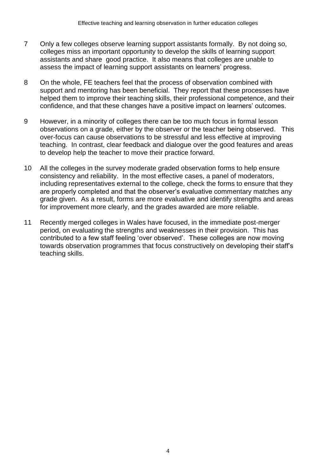- 7 Only a few colleges observe learning support assistants formally. By not doing so, colleges miss an important opportunity to develop the skills of learning support assistants and share good practice. It also means that colleges are unable to assess the impact of learning support assistants on learners' progress.
- 8 On the whole, FE teachers feel that the process of observation combined with support and mentoring has been beneficial. They report that these processes have helped them to improve their teaching skills, their professional competence, and their confidence, and that these changes have a positive impact on learners' outcomes.
- 9 However, in a minority of colleges there can be too much focus in formal lesson observations on a grade, either by the observer or the teacher being observed. This over-focus can cause observations to be stressful and less effective at improving teaching. In contrast, clear feedback and dialogue over the good features and areas to develop help the teacher to move their practice forward.
- 10 All the colleges in the survey moderate graded observation forms to help ensure consistency and reliability. In the most effective cases, a panel of moderators, including representatives external to the college, check the forms to ensure that they are properly completed and that the observer's evaluative commentary matches any grade given. As a result, forms are more evaluative and identify strengths and areas for improvement more clearly, and the grades awarded are more reliable.
- 11 Recently merged colleges in Wales have focused, in the immediate post-merger period, on evaluating the strengths and weaknesses in their provision. This has contributed to a few staff feeling 'over observed'. These colleges are now moving towards observation programmes that focus constructively on developing their staff's teaching skills.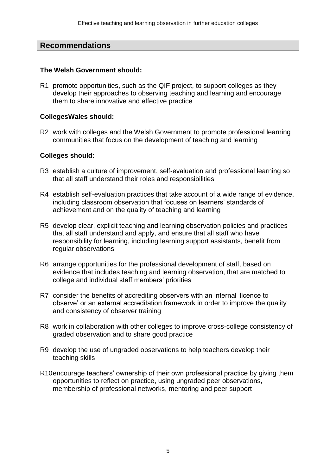#### **Recommendations**

#### **The Welsh Government should:**

R1 promote opportunities, such as the QIF project, to support colleges as they develop their approaches to observing teaching and learning and encourage them to share innovative and effective practice

#### **CollegesWales should:**

R2 work with colleges and the Welsh Government to promote professional learning communities that focus on the development of teaching and learning

#### **Colleges should:**

- R3 establish a culture of improvement, self-evaluation and professional learning so that all staff understand their roles and responsibilities
- R4 establish self-evaluation practices that take account of a wide range of evidence, including classroom observation that focuses on learners' standards of achievement and on the quality of teaching and learning
- R5 develop clear, explicit teaching and learning observation policies and practices that all staff understand and apply, and ensure that all staff who have responsibility for learning, including learning support assistants, benefit from regular observations
- R6 arrange opportunities for the professional development of staff, based on evidence that includes teaching and learning observation, that are matched to college and individual staff members' priorities
- R7 consider the benefits of accrediting observers with an internal 'licence to observe' or an external accreditation framework in order to improve the quality and consistency of observer training
- R8 work in collaboration with other colleges to improve cross-college consistency of graded observation and to share good practice
- R9 develop the use of ungraded observations to help teachers develop their teaching skills
- R10encourage teachers' ownership of their own professional practice by giving them opportunities to reflect on practice, using ungraded peer observations, membership of professional networks, mentoring and peer support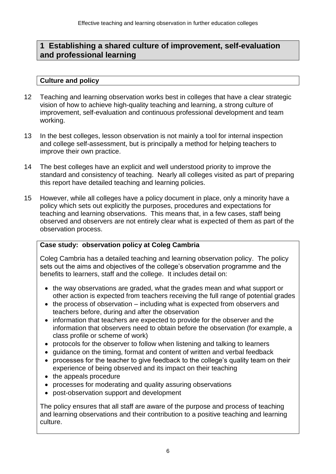## **1 Establishing a shared culture of improvement, self-evaluation and professional learning**

## **Culture and policy**

- 12 Teaching and learning observation works best in colleges that have a clear strategic vision of how to achieve high-quality teaching and learning, a strong culture of improvement, self-evaluation and continuous professional development and team working.
- 13 In the best colleges, lesson observation is not mainly a tool for internal inspection and college self-assessment, but is principally a method for helping teachers to improve their own practice.
- 14 The best colleges have an explicit and well understood priority to improve the standard and consistency of teaching. Nearly all colleges visited as part of preparing this report have detailed teaching and learning policies.
- 15 However, while all colleges have a policy document in place, only a minority have a policy which sets out explicitly the purposes, procedures and expectations for teaching and learning observations. This means that, in a few cases, staff being observed and observers are not entirely clear what is expected of them as part of the observation process.

## **Case study: observation policy at Coleg Cambria**

Coleg Cambria has a detailed teaching and learning observation policy. The policy sets out the aims and objectives of the college's observation programme and the benefits to learners, staff and the college. It includes detail on:

- the way observations are graded, what the grades mean and what support or other action is expected from teachers receiving the full range of potential grades
- the process of observation including what is expected from observers and teachers before, during and after the observation
- information that teachers are expected to provide for the observer and the information that observers need to obtain before the observation (for example, a class profile or scheme of work)
- protocols for the observer to follow when listening and talking to learners
- quidance on the timing, format and content of written and verbal feedback
- processes for the teacher to give feedback to the college's quality team on their experience of being observed and its impact on their teaching
- the appeals procedure
- processes for moderating and quality assuring observations
- post-observation support and development

The policy ensures that all staff are aware of the purpose and process of teaching and learning observations and their contribution to a positive teaching and learning culture.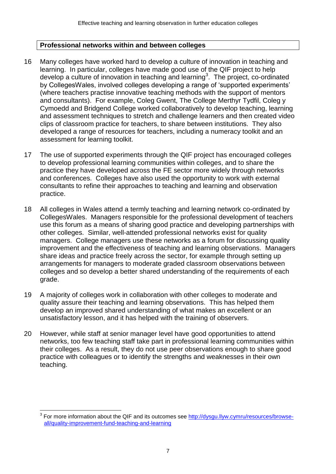#### **Professional networks within and between colleges**

- 16 Many colleges have worked hard to develop a culture of innovation in teaching and learning. In particular, colleges have made good use of the QIF project to help develop a culture of innovation in teaching and learning<sup>3</sup>. The project, co-ordinated by CollegesWales, involved colleges developing a range of 'supported experiments' (where teachers practise innovative teaching methods with the support of mentors and consultants). For example, Coleg Gwent, The College Merthyr Tydfil, Coleg y Cymoedd and Bridgend College worked collaboratively to develop teaching, learning and assessment techniques to stretch and challenge learners and then created video clips of classroom practice for teachers, to share between institutions. They also developed a range of resources for teachers, including a numeracy toolkit and an assessment for learning toolkit.
- 17 The use of supported experiments through the QIF project has encouraged colleges to develop professional learning communities within colleges, and to share the practice they have developed across the FE sector more widely through networks and conferences. Colleges have also used the opportunity to work with external consultants to refine their approaches to teaching and learning and observation practice.
- 18 All colleges in Wales attend a termly teaching and learning network co-ordinated by CollegesWales. Managers responsible for the professional development of teachers use this forum as a means of sharing good practice and developing partnerships with other colleges. Similar, well-attended professional networks exist for quality managers. College managers use these networks as a forum for discussing quality improvement and the effectiveness of teaching and learning observations. Managers share ideas and practice freely across the sector, for example through setting up arrangements for managers to moderate graded classroom observations between colleges and so develop a better shared understanding of the requirements of each grade.
- 19 A majority of colleges work in collaboration with other colleges to moderate and quality assure their teaching and learning observations. This has helped them develop an improved shared understanding of what makes an excellent or an unsatisfactory lesson, and it has helped with the training of observers.
- 20 However, while staff at senior manager level have good opportunities to attend networks, too few teaching staff take part in professional learning communities within their colleges. As a result, they do not use peer observations enough to share good practice with colleagues or to identify the strengths and weaknesses in their own teaching.

 $\overline{a}$ 

<sup>3</sup> For more information about the QIF and its outcomes see [http://dysgu.llyw.cymru/resources/browse](http://dysgu.llyw.cymru/resources/browse-all/quality-improvement-fund-teaching-and-learning)[all/quality-improvement-fund-teaching-and-learning](http://dysgu.llyw.cymru/resources/browse-all/quality-improvement-fund-teaching-and-learning)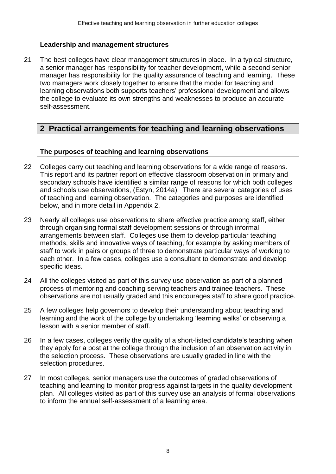#### **Leadership and management structures**

21 The best colleges have clear management structures in place. In a typical structure, a senior manager has responsibility for teacher development, while a second senior manager has responsibility for the quality assurance of teaching and learning. These two managers work closely together to ensure that the model for teaching and learning observations both supports teachers' professional development and allows the college to evaluate its own strengths and weaknesses to produce an accurate self-assessment.

## **2 Practical arrangements for teaching and learning observations**

#### **The purposes of teaching and learning observations**

- 22 Colleges carry out teaching and learning observations for a wide range of reasons. This report and its partner report on effective classroom observation in primary and secondary schools have identified a similar range of reasons for which both colleges and schools use observations, (Estyn, 2014a). There are several categories of uses of teaching and learning observation. The categories and purposes are identified below, and in more detail in Appendix 2.
- 23 Nearly all colleges use observations to share effective practice among staff, either through organising formal staff development sessions or through informal arrangements between staff. Colleges use them to develop particular teaching methods, skills and innovative ways of teaching, for example by asking members of staff to work in pairs or groups of three to demonstrate particular ways of working to each other. In a few cases, colleges use a consultant to demonstrate and develop specific ideas.
- 24 All the colleges visited as part of this survey use observation as part of a planned process of mentoring and coaching serving teachers and trainee teachers. These observations are not usually graded and this encourages staff to share good practice.
- 25 A few colleges help governors to develop their understanding about teaching and learning and the work of the college by undertaking 'learning walks' or observing a lesson with a senior member of staff.
- 26 In a few cases, colleges verify the quality of a short-listed candidate's teaching when they apply for a post at the college through the inclusion of an observation activity in the selection process. These observations are usually graded in line with the selection procedures.
- 27 In most colleges, senior managers use the outcomes of graded observations of teaching and learning to monitor progress against targets in the quality development plan. All colleges visited as part of this survey use an analysis of formal observations to inform the annual self-assessment of a learning area.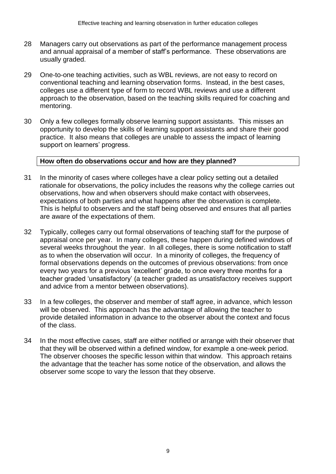- 28 Managers carry out observations as part of the performance management process and annual appraisal of a member of staff's performance. These observations are usually graded.
- 29 One-to-one teaching activities, such as WBL reviews, are not easy to record on conventional teaching and learning observation forms. Instead, in the best cases, colleges use a different type of form to record WBL reviews and use a different approach to the observation, based on the teaching skills required for coaching and mentoring.
- 30 Only a few colleges formally observe learning support assistants. This misses an opportunity to develop the skills of learning support assistants and share their good practice. It also means that colleges are unable to assess the impact of learning support on learners' progress.

#### **How often do observations occur and how are they planned?**

- 31 In the minority of cases where colleges have a clear policy setting out a detailed rationale for observations, the policy includes the reasons why the college carries out observations, how and when observers should make contact with observees, expectations of both parties and what happens after the observation is complete. This is helpful to observers and the staff being observed and ensures that all parties are aware of the expectations of them.
- 32 Typically, colleges carry out formal observations of teaching staff for the purpose of appraisal once per year. In many colleges, these happen during defined windows of several weeks throughout the year. In all colleges, there is some notification to staff as to when the observation will occur. In a minority of colleges, the frequency of formal observations depends on the outcomes of previous observations: from once every two years for a previous 'excellent' grade, to once every three months for a teacher graded 'unsatisfactory' (a teacher graded as unsatisfactory receives support and advice from a mentor between observations).
- 33 In a few colleges, the observer and member of staff agree, in advance, which lesson will be observed. This approach has the advantage of allowing the teacher to provide detailed information in advance to the observer about the context and focus of the class.
- 34 In the most effective cases, staff are either notified or arrange with their observer that that they will be observed within a defined window, for example a one-week period. The observer chooses the specific lesson within that window. This approach retains the advantage that the teacher has some notice of the observation, and allows the observer some scope to vary the lesson that they observe.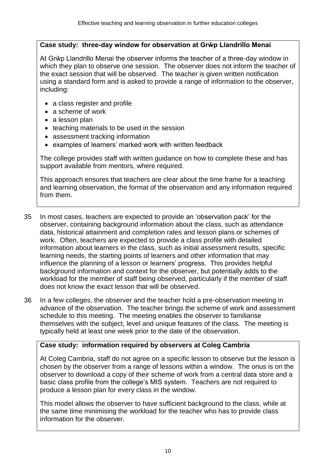#### **Case study: three-day window for observation at Grŵp Llandrillo Menai**

At Grŵp Llandrillo Menai the observer informs the teacher of a three-day window in which they plan to observe one session. The observer does not inform the teacher of the exact session that will be observed. The teacher is given written notification using a standard form and is asked to provide a range of information to the observer, including:

- a class register and profile
- a scheme of work
- a lesson plan
- teaching materials to be used in the session
- assessment tracking information
- examples of learners' marked work with written feedback

The college provides staff with written guidance on how to complete these and has support available from mentors, where required.

This approach ensures that teachers are clear about the time frame for a teaching and learning observation, the format of the observation and any information required from them.

- 35 In most cases, teachers are expected to provide an 'observation pack' for the observer, containing background information about the class, such as attendance data, historical attainment and completion rates and lesson plans or schemes of work. Often, teachers are expected to provide a class profile with detailed information about learners in the class, such as initial assessment results, specific learning needs, the starting points of learners and other information that may influence the planning of a lesson or learners' progress. This provides helpful background information and context for the observer, but potentially adds to the workload for the member of staff being observed, particularly if the member of staff does not know the exact lesson that will be observed.
- 36 In a few colleges, the observer and the teacher hold a pre-observation meeting in advance of the observation. The teacher brings the scheme of work and assessment schedule to this meeting. The meeting enables the observer to familiarise themselves with the subject, level and unique features of the class. The meeting is typically held at least one week prior to the date of the observation.

## **Case study: information required by observers at Coleg Cambria**

At Coleg Cambria, staff do not agree on a specific lesson to observe but the lesson is chosen by the observer from a range of lessons within a window. The onus is on the observer to download a copy of their scheme of work from a central data store and a basic class profile from the college's MIS system. Teachers are not required to produce a lesson plan for every class in the window.

This model allows the observer to have sufficient background to the class, while at the same time minimising the workload for the teacher who has to provide class information for the observer.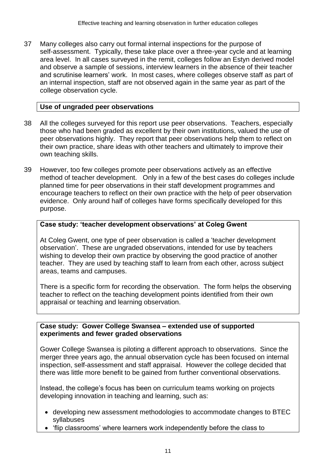37 Many colleges also carry out formal internal inspections for the purpose of self-assessment. Typically, these take place over a three-year cycle and at learning area level. In all cases surveyed in the remit, colleges follow an Estyn derived model and observe a sample of sessions, interview learners in the absence of their teacher and scrutinise learners' work. In most cases, where colleges observe staff as part of an internal inspection, staff are not observed again in the same year as part of the college observation cycle.

#### **Use of ungraded peer observations**

- 38 All the colleges surveyed for this report use peer observations. Teachers, especially those who had been graded as excellent by their own institutions, valued the use of peer observations highly. They report that peer observations help them to reflect on their own practice, share ideas with other teachers and ultimately to improve their own teaching skills.
- 39 However, too few colleges promote peer observations actively as an effective method of teacher development. Only in a few of the best cases do colleges include planned time for peer observations in their staff development programmes and encourage teachers to reflect on their own practice with the help of peer observation evidence. Only around half of colleges have forms specifically developed for this purpose.

#### **Case study: 'teacher development observations' at Coleg Gwent**

At Coleg Gwent, one type of peer observation is called a 'teacher development observation'. These are ungraded observations, intended for use by teachers wishing to develop their own practice by observing the good practice of another teacher. They are used by teaching staff to learn from each other, across subject areas, teams and campuses.

There is a specific form for recording the observation. The form helps the observing teacher to reflect on the teaching development points identified from their own appraisal or teaching and learning observation.

#### **Case study: Gower College Swansea – extended use of supported experiments and fewer graded observations**

Gower College Swansea is piloting a different approach to observations. Since the merger three years ago, the annual observation cycle has been focused on internal inspection, self-assessment and staff appraisal. However the college decided that there was little more benefit to be gained from further conventional observations.

Instead, the college's focus has been on curriculum teams working on projects developing innovation in teaching and learning, such as:

- developing new assessment methodologies to accommodate changes to BTEC syllabuses
- 'flip classrooms' where learners work independently before the class to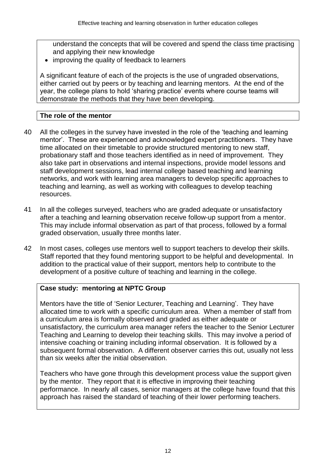understand the concepts that will be covered and spend the class time practising and applying their new knowledge

• improving the quality of feedback to learners

A significant feature of each of the projects is the use of ungraded observations, either carried out by peers or by teaching and learning mentors. At the end of the year, the college plans to hold 'sharing practice' events where course teams will demonstrate the methods that they have been developing.

#### **The role of the mentor**

- 40 All the colleges in the survey have invested in the role of the 'teaching and learning mentor'. These are experienced and acknowledged expert practitioners. They have time allocated on their timetable to provide structured mentoring to new staff, probationary staff and those teachers identified as in need of improvement. They also take part in observations and internal inspections, provide model lessons and staff development sessions, lead internal college based teaching and learning networks, and work with learning area managers to develop specific approaches to teaching and learning, as well as working with colleagues to develop teaching resources.
- 41 In all the colleges surveyed, teachers who are graded adequate or unsatisfactory after a teaching and learning observation receive follow-up support from a mentor. This may include informal observation as part of that process, followed by a formal graded observation, usually three months later.
- 42 In most cases, colleges use mentors well to support teachers to develop their skills. Staff reported that they found mentoring support to be helpful and developmental. In addition to the practical value of their support, mentors help to contribute to the development of a positive culture of teaching and learning in the college.

#### **Case study: mentoring at NPTC Group**

Mentors have the title of 'Senior Lecturer, Teaching and Learning'. They have allocated time to work with a specific curriculum area. When a member of staff from a curriculum area is formally observed and graded as either adequate or unsatisfactory, the curriculum area manager refers the teacher to the Senior Lecturer Teaching and Learning to develop their teaching skills. This may involve a period of intensive coaching or training including informal observation. It is followed by a subsequent formal observation. A different observer carries this out, usually not less than six weeks after the initial observation.

Teachers who have gone through this development process value the support given by the mentor. They report that it is effective in improving their teaching performance. In nearly all cases, senior managers at the college have found that this approach has raised the standard of teaching of their lower performing teachers.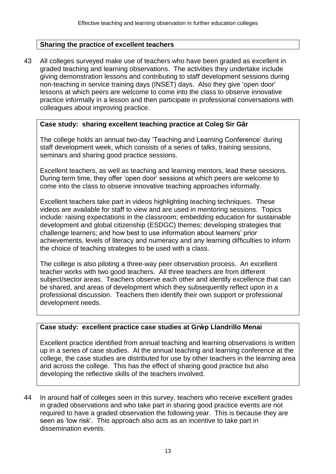#### **Sharing the practice of excellent teachers**

43 All colleges surveyed make use of teachers who have been graded as excellent in graded teaching and learning observations. The activities they undertake include giving demonstration lessons and contributing to staff development sessions during non-teaching in service training days (INSET) days. Also they give 'open door' lessons at which peers are welcome to come into the class to observe innovative practice informally in a lesson and then participate in professional conversations with colleagues about improving practice.

#### **Case study: sharing excellent teaching practice at Coleg Sir Gâr**

The college holds an annual two-day 'Teaching and Learning Conference' during staff development week, which consists of a series of talks, training sessions, seminars and sharing good practice sessions.

Excellent teachers, as well as teaching and learning mentors, lead these sessions. During term time, they offer 'open door' sessions at which peers are welcome to come into the class to observe innovative teaching approaches informally.

Excellent teachers take part in videos highlighting teaching techniques. These videos are available for staff to view and are used in mentoring sessions. Topics include: raising expectations in the classroom; embedding education for sustainable development and global citizenship (ESDGC) themes; developing strategies that challenge learners; and how best to use information about learners' prior achievements, levels of literacy and numeracy and any learning difficulties to inform the choice of teaching strategies to be used with a class.

The college is also piloting a three-way peer observation process. An excellent teacher works with two good teachers. All three teachers are from different subject/sector areas. Teachers observe each other and identify excellence that can be shared, and areas of development which they subsequently reflect upon in a professional discussion. Teachers then identify their own support or professional development needs.

#### **Case study: excellent practice case studies at Grŵp Llandrillo Menai**

Excellent practice identified from annual teaching and learning observations is written up in a series of case studies. At the annual teaching and learning conference at the college, the case studies are distributed for use by other teachers in the learning area and across the college. This has the effect of sharing good practice but also developing the reflective skills of the teachers involved.

44 In around half of colleges seen in this survey, teachers who receive excellent grades in graded observations and who take part in sharing good practice events are not required to have a graded observation the following year. This is because they are seen as 'low risk'. This approach also acts as an incentive to take part in dissemination events.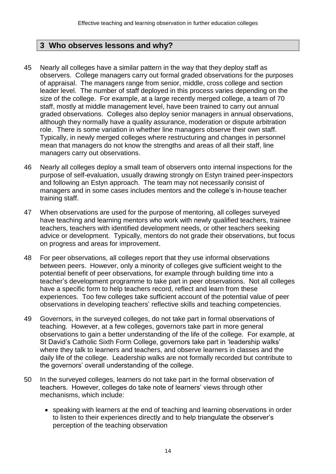## **3 Who observes lessons and why?**

- 45 Nearly all colleges have a similar pattern in the way that they deploy staff as observers. College managers carry out formal graded observations for the purposes of appraisal. The managers range from senior, middle, cross college and section leader level. The number of staff deployed in this process varies depending on the size of the college. For example, at a large recently merged college, a team of 70 staff, mostly at middle management level, have been trained to carry out annual graded observations. Colleges also deploy senior managers in annual observations, although they normally have a quality assurance, moderation or dispute arbitration role. There is some variation in whether line managers observe their own staff. Typically, in newly merged colleges where restructuring and changes in personnel mean that managers do not know the strengths and areas of all their staff, line managers carry out observations.
- 46 Nearly all colleges deploy a small team of observers onto internal inspections for the purpose of self-evaluation, usually drawing strongly on Estyn trained peer-inspectors and following an Estyn approach. The team may not necessarily consist of managers and in some cases includes mentors and the college's in-house teacher training staff.
- 47 When observations are used for the purpose of mentoring, all colleges surveyed have teaching and learning mentors who work with newly qualified teachers, trainee teachers, teachers with identified development needs, or other teachers seeking advice or development. Typically, mentors do not grade their observations, but focus on progress and areas for improvement.
- 48 For peer observations, all colleges report that they use informal observations between peers. However, only a minority of colleges give sufficient weight to the potential benefit of peer observations, for example through building time into a teacher's development programme to take part in peer observations. Not all colleges have a specific form to help teachers record, reflect and learn from these experiences. Too few colleges take sufficient account of the potential value of peer observations in developing teachers' reflective skills and teaching competencies.
- 49 Governors, in the surveyed colleges, do not take part in formal observations of teaching. However, at a few colleges, governors take part in more general observations to gain a better understanding of the life of the college. For example, at St David's Catholic Sixth Form College, governors take part in 'leadership walks' where they talk to learners and teachers, and observe learners in classes and the daily life of the college. Leadership walks are not formally recorded but contribute to the governors' overall understanding of the college.
- 50 In the surveyed colleges, learners do not take part in the formal observation of teachers. However, colleges do take note of learners' views through other mechanisms, which include:
	- speaking with learners at the end of teaching and learning observations in order to listen to their experiences directly and to help triangulate the observer's perception of the teaching observation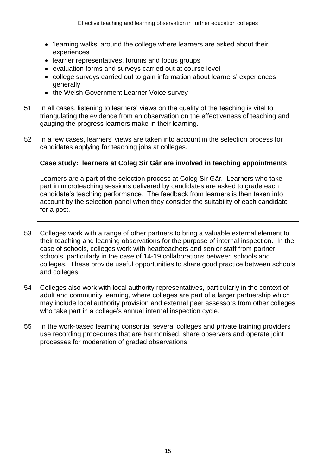- 'learning walks' around the college where learners are asked about their experiences
- learner representatives, forums and focus groups
- evaluation forms and surveys carried out at course level
- college surveys carried out to gain information about learners' experiences generally
- the Welsh Government Learner Voice survey
- 51 In all cases, listening to learners' views on the quality of the teaching is vital to triangulating the evidence from an observation on the effectiveness of teaching and gauging the progress learners make in their learning.
- 52 In a few cases, learners' views are taken into account in the selection process for candidates applying for teaching jobs at colleges.

#### **Case study: learners at Coleg Sir Gâr are involved in teaching appointments**

Learners are a part of the selection process at Coleg Sir Gâr. Learners who take part in microteaching sessions delivered by candidates are asked to grade each candidate's teaching performance. The feedback from learners is then taken into account by the selection panel when they consider the suitability of each candidate for a post.

- 53 Colleges work with a range of other partners to bring a valuable external element to their teaching and learning observations for the purpose of internal inspection. In the case of schools, colleges work with headteachers and senior staff from partner schools, particularly in the case of 14-19 collaborations between schools and colleges. These provide useful opportunities to share good practice between schools and colleges.
- 54 Colleges also work with local authority representatives, particularly in the context of adult and community learning, where colleges are part of a larger partnership which may include local authority provision and external peer assessors from other colleges who take part in a college's annual internal inspection cycle.
- 55 In the work-based learning consortia, several colleges and private training providers use recording procedures that are harmonised, share observers and operate joint processes for moderation of graded observations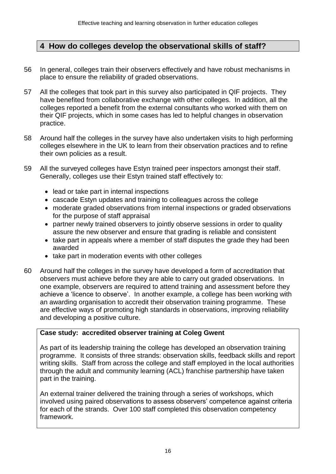## **4 How do colleges develop the observational skills of staff?**

- 56 In general, colleges train their observers effectively and have robust mechanisms in place to ensure the reliability of graded observations.
- 57 All the colleges that took part in this survey also participated in QIF projects. They have benefited from collaborative exchange with other colleges. In addition, all the colleges reported a benefit from the external consultants who worked with them on their QIF projects, which in some cases has led to helpful changes in observation practice.
- 58 Around half the colleges in the survey have also undertaken visits to high performing colleges elsewhere in the UK to learn from their observation practices and to refine their own policies as a result.
- 59 All the surveyed colleges have Estyn trained peer inspectors amongst their staff. Generally, colleges use their Estyn trained staff effectively to:
	- lead or take part in internal inspections
	- cascade Estyn updates and training to colleagues across the college
	- moderate graded observations from internal inspections or graded observations for the purpose of staff appraisal
	- partner newly trained observers to jointly observe sessions in order to quality assure the new observer and ensure that grading is reliable and consistent
	- take part in appeals where a member of staff disputes the grade they had been awarded
	- take part in moderation events with other colleges
- 60 Around half the colleges in the survey have developed a form of accreditation that observers must achieve before they are able to carry out graded observations. In one example, observers are required to attend training and assessment before they achieve a 'licence to observe'. In another example, a college has been working with an awarding organisation to accredit their observation training programme. These are effective ways of promoting high standards in observations, improving reliability and developing a positive culture.

#### **Case study: accredited observer training at Coleg Gwent**

As part of its leadership training the college has developed an observation training programme. It consists of three strands: observation skills, feedback skills and report writing skills. Staff from across the college and staff employed in the local authorities through the adult and community learning (ACL) franchise partnership have taken part in the training.

An external trainer delivered the training through a series of workshops, which involved using paired observations to assess observers' competence against criteria for each of the strands. Over 100 staff completed this observation competency framework.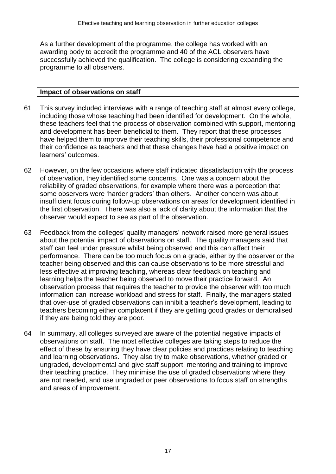As a further development of the programme, the college has worked with an awarding body to accredit the programme and 40 of the ACL observers have successfully achieved the qualification. The college is considering expanding the programme to all observers.

#### **Impact of observations on staff**

- 61 This survey included interviews with a range of teaching staff at almost every college, including those whose teaching had been identified for development. On the whole, these teachers feel that the process of observation combined with support, mentoring and development has been beneficial to them. They report that these processes have helped them to improve their teaching skills, their professional competence and their confidence as teachers and that these changes have had a positive impact on learners' outcomes.
- 62 However, on the few occasions where staff indicated dissatisfaction with the process of observation, they identified some concerns. One was a concern about the reliability of graded observations, for example where there was a perception that some observers were 'harder graders' than others. Another concern was about insufficient focus during follow-up observations on areas for development identified in the first observation. There was also a lack of clarity about the information that the observer would expect to see as part of the observation.
- 63 Feedback from the colleges' quality managers' network raised more general issues about the potential impact of observations on staff. The quality managers said that staff can feel under pressure whilst being observed and this can affect their performance. There can be too much focus on a grade, either by the observer or the teacher being observed and this can cause observations to be more stressful and less effective at improving teaching, whereas clear feedback on teaching and learning helps the teacher being observed to move their practice forward. An observation process that requires the teacher to provide the observer with too much information can increase workload and stress for staff. Finally, the managers stated that over-use of graded observations can inhibit a teacher's development, leading to teachers becoming either complacent if they are getting good grades or demoralised if they are being told they are poor.
- 64 In summary, all colleges surveyed are aware of the potential negative impacts of observations on staff. The most effective colleges are taking steps to reduce the effect of these by ensuring they have clear policies and practices relating to teaching and learning observations. They also try to make observations, whether graded or ungraded, developmental and give staff support, mentoring and training to improve their teaching practice. They minimise the use of graded observations where they are not needed, and use ungraded or peer observations to focus staff on strengths and areas of improvement.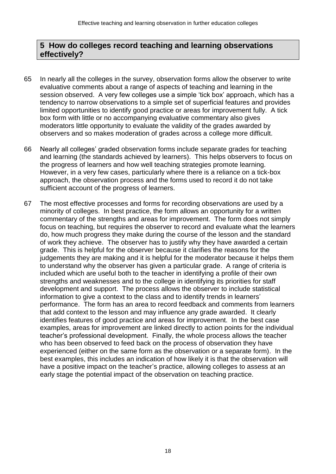## **5 How do colleges record teaching and learning observations effectively?**

- 65 In nearly all the colleges in the survey, observation forms allow the observer to write evaluative comments about a range of aspects of teaching and learning in the session observed. A very few colleges use a simple 'tick box' approach, which has a tendency to narrow observations to a simple set of superficial features and provides limited opportunities to identify good practice or areas for improvement fully. A tick box form with little or no accompanying evaluative commentary also gives moderators little opportunity to evaluate the validity of the grades awarded by observers and so makes moderation of grades across a college more difficult.
- 66 Nearly all colleges' graded observation forms include separate grades for teaching and learning (the standards achieved by learners). This helps observers to focus on the progress of learners and how well teaching strategies promote learning. However, in a very few cases, particularly where there is a reliance on a tick-box approach, the observation process and the forms used to record it do not take sufficient account of the progress of learners.
- 67 The most effective processes and forms for recording observations are used by a minority of colleges. In best practice, the form allows an opportunity for a written commentary of the strengths and areas for improvement. The form does not simply focus on teaching, but requires the observer to record and evaluate what the learners do, how much progress they make during the course of the lesson and the standard of work they achieve. The observer has to justify why they have awarded a certain grade. This is helpful for the observer because it clarifies the reasons for the judgements they are making and it is helpful for the moderator because it helps them to understand why the observer has given a particular grade. A range of criteria is included which are useful both to the teacher in identifying a profile of their own strengths and weaknesses and to the college in identifying its priorities for staff development and support. The process allows the observer to include statistical information to give a context to the class and to identify trends in learners' performance. The form has an area to record feedback and comments from learners that add context to the lesson and may influence any grade awarded. It clearly identifies features of good practice and areas for improvement. In the best case examples, areas for improvement are linked directly to action points for the individual teacher's professional development. Finally, the whole process allows the teacher who has been observed to feed back on the process of observation they have experienced (either on the same form as the observation or a separate form). In the best examples, this includes an indication of how likely it is that the observation will have a positive impact on the teacher's practice, allowing colleges to assess at an early stage the potential impact of the observation on teaching practice.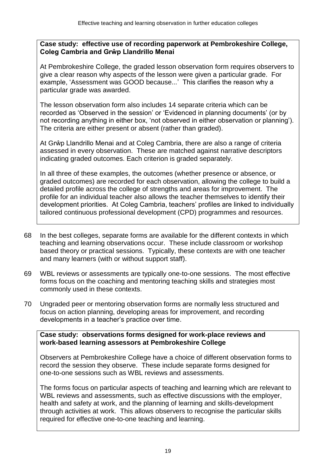#### **Case study: effective use of recording paperwork at Pembrokeshire College, Coleg Cambria and Grŵp Llandrillo Menai**

At Pembrokeshire College, the graded lesson observation form requires observers to give a clear reason why aspects of the lesson were given a particular grade. For example, 'Assessment was GOOD because...' This clarifies the reason why a particular grade was awarded.

The lesson observation form also includes 14 separate criteria which can be recorded as 'Observed in the session' or 'Evidenced in planning documents' (or by not recording anything in either box, 'not observed in either observation or planning'). The criteria are either present or absent (rather than graded).

At Grŵp Llandrillo Menai and at Coleg Cambria, there are also a range of criteria assessed in every observation. These are matched against narrative descriptors indicating graded outcomes. Each criterion is graded separately.

In all three of these examples, the outcomes (whether presence or absence, or graded outcomes) are recorded for each observation, allowing the college to build a detailed profile across the college of strengths and areas for improvement. The profile for an individual teacher also allows the teacher themselves to identify their development priorities. At Coleg Cambria, teachers' profiles are linked to individually tailored continuous professional development (CPD) programmes and resources.

- 68 In the best colleges, separate forms are available for the different contexts in which teaching and learning observations occur. These include classroom or workshop based theory or practical sessions. Typically, these contexts are with one teacher and many learners (with or without support staff).
- 69 WBL reviews or assessments are typically one-to-one sessions. The most effective forms focus on the coaching and mentoring teaching skills and strategies most commonly used in these contexts.
- 70 Ungraded peer or mentoring observation forms are normally less structured and focus on action planning, developing areas for improvement, and recording developments in a teacher's practice over time.

#### **Case study: observations forms designed for work-place reviews and work-based learning assessors at Pembrokeshire College**

Observers at Pembrokeshire College have a choice of different observation forms to record the session they observe. These include separate forms designed for one-to-one sessions such as WBL reviews and assessments.

The forms focus on particular aspects of teaching and learning which are relevant to WBL reviews and assessments, such as effective discussions with the employer, health and safety at work, and the planning of learning and skills-development through activities at work. This allows observers to recognise the particular skills required for effective one-to-one teaching and learning.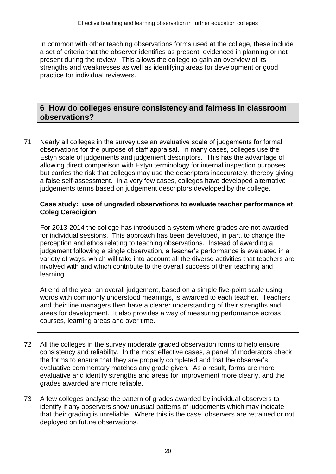In common with other teaching observations forms used at the college, these include a set of criteria that the observer identifies as present, evidenced in planning or not present during the review. This allows the college to gain an overview of its strengths and weaknesses as well as identifying areas for development or good practice for individual reviewers.

## **6 How do colleges ensure consistency and fairness in classroom observations?**

71 Nearly all colleges in the survey use an evaluative scale of judgements for formal observations for the purpose of staff appraisal. In many cases, colleges use the Estyn scale of judgements and judgement descriptors. This has the advantage of allowing direct comparison with Estyn terminology for internal inspection purposes but carries the risk that colleges may use the descriptors inaccurately, thereby giving a false self-assessment. In a very few cases, colleges have developed alternative judgements terms based on judgement descriptors developed by the college.

#### **Case study: use of ungraded observations to evaluate teacher performance at Coleg Ceredigion**

For 2013-2014 the college has introduced a system where grades are not awarded for individual sessions. This approach has been developed, in part, to change the perception and ethos relating to teaching observations. Instead of awarding a judgement following a single observation, a teacher's performance is evaluated in a variety of ways, which will take into account all the diverse activities that teachers are involved with and which contribute to the overall success of their teaching and learning.

At end of the year an overall judgement, based on a simple five-point scale using words with commonly understood meanings, is awarded to each teacher. Teachers and their line managers then have a clearer understanding of their strengths and areas for development. It also provides a way of measuring performance across courses, learning areas and over time.

- 72 All the colleges in the survey moderate graded observation forms to help ensure consistency and reliability. In the most effective cases, a panel of moderators check the forms to ensure that they are properly completed and that the observer's evaluative commentary matches any grade given. As a result, forms are more evaluative and identify strengths and areas for improvement more clearly, and the grades awarded are more reliable.
- 73 A few colleges analyse the pattern of grades awarded by individual observers to identify if any observers show unusual patterns of judgements which may indicate that their grading is unreliable. Where this is the case, observers are retrained or not deployed on future observations.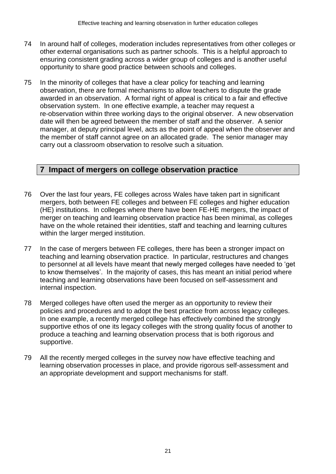- 74 In around half of colleges, moderation includes representatives from other colleges or other external organisations such as partner schools. This is a helpful approach to ensuring consistent grading across a wider group of colleges and is another useful opportunity to share good practice between schools and colleges.
- 75 In the minority of colleges that have a clear policy for teaching and learning observation, there are formal mechanisms to allow teachers to dispute the grade awarded in an observation. A formal right of appeal is critical to a fair and effective observation system. In one effective example, a teacher may request a re-observation within three working days to the original observer. A new observation date will then be agreed between the member of staff and the observer. A senior manager, at deputy principal level, acts as the point of appeal when the observer and the member of staff cannot agree on an allocated grade. The senior manager may carry out a classroom observation to resolve such a situation.

## **7 Impact of mergers on college observation practice**

- 76 Over the last four years, FE colleges across Wales have taken part in significant mergers, both between FE colleges and between FE colleges and higher education (HE) institutions. In colleges where there have been FE-HE mergers, the impact of merger on teaching and learning observation practice has been minimal, as colleges have on the whole retained their identities, staff and teaching and learning cultures within the larger merged institution.
- 77 In the case of mergers between FE colleges, there has been a stronger impact on teaching and learning observation practice. In particular, restructures and changes to personnel at all levels have meant that newly merged colleges have needed to 'get to know themselves'. In the majority of cases, this has meant an initial period where teaching and learning observations have been focused on self-assessment and internal inspection.
- 78 Merged colleges have often used the merger as an opportunity to review their policies and procedures and to adopt the best practice from across legacy colleges. In one example, a recently merged college has effectively combined the strongly supportive ethos of one its legacy colleges with the strong quality focus of another to produce a teaching and learning observation process that is both rigorous and supportive.
- 79 All the recently merged colleges in the survey now have effective teaching and learning observation processes in place, and provide rigorous self-assessment and an appropriate development and support mechanisms for staff.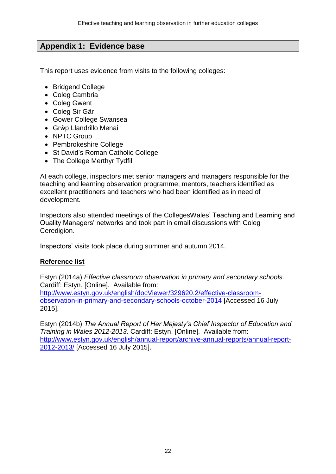## **Appendix 1: Evidence base**

This report uses evidence from visits to the following colleges:

- Bridgend College
- Coleg Cambria
- Coleg Gwent
- Coleg Sir Gâr
- Gower College Swansea
- Grŵp Llandrillo Menai
- NPTC Group
- Pembrokeshire College
- St David's Roman Catholic College
- The College Merthyr Tydfil

At each college, inspectors met senior managers and managers responsible for the teaching and learning observation programme, mentors, teachers identified as excellent practitioners and teachers who had been identified as in need of development.

Inspectors also attended meetings of the CollegesWales' Teaching and Learning and Quality Managers' networks and took part in email discussions with Coleg Ceredigion.

Inspectors' visits took place during summer and autumn 2014.

#### **Reference list**

Estyn (2014a) *Effective classroom observation in primary and secondary schools.*  Cardiff: Estyn. [Online]. Available from: [http://www.estyn.gov.uk/english/docViewer/329620.2/effective-classroom](http://www.estyn.gov.uk/english/docViewer/329620.2/effective-classroom-observation-in-primary-and-secondary-schools-october-2014)[observation-in-primary-and-secondary-schools-october-2014](http://www.estyn.gov.uk/english/docViewer/329620.2/effective-classroom-observation-in-primary-and-secondary-schools-october-2014) [Accessed 16 July 2015].

Estyn (2014b) *The Annual Report of Her Majesty's Chief Inspector of Education and Training in Wales 2012-2013.* Cardiff: Estyn. [Online]. Available from: [http://www.estyn.gov.uk/english/annual-report/archive-annual-reports/annual-report-](http://www.estyn.gov.uk/english/annual-report/archive-annual-reports/annual-report-2012-2013/)[2012-2013/](http://www.estyn.gov.uk/english/annual-report/archive-annual-reports/annual-report-2012-2013/) [Accessed 16 July 2015].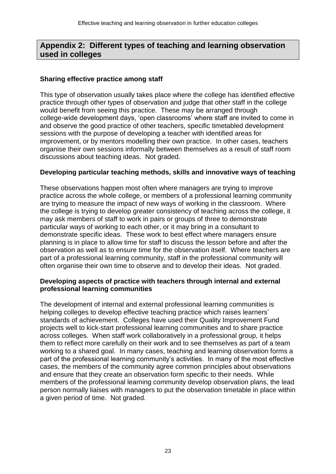## **Appendix 2: Different types of teaching and learning observation used in colleges**

#### **Sharing effective practice among staff**

This type of observation usually takes place where the college has identified effective practice through other types of observation and judge that other staff in the college would benefit from seeing this practice. These may be arranged through college-wide development days, 'open classrooms' where staff are invited to come in and observe the good practice of other teachers, specific timetabled development sessions with the purpose of developing a teacher with identified areas for improvement, or by mentors modelling their own practice. In other cases, teachers organise their own sessions informally between themselves as a result of staff room discussions about teaching ideas. Not graded.

#### **Developing particular teaching methods, skills and innovative ways of teaching**

These observations happen most often where managers are trying to improve practice across the whole college, or members of a professional learning community are trying to measure the impact of new ways of working in the classroom. Where the college is trying to develop greater consistency of teaching across the college, it may ask members of staff to work in pairs or groups of three to demonstrate particular ways of working to each other, or it may bring in a consultant to demonstrate specific ideas. These work to best effect where managers ensure planning is in place to allow time for staff to discuss the lesson before and after the observation as well as to ensure time for the observation itself. Where teachers are part of a professional learning community, staff in the professional community will often organise their own time to observe and to develop their ideas. Not graded.

#### **Developing aspects of practice with teachers through internal and external professional learning communities**

The development of internal and external professional learning communities is helping colleges to develop effective teaching practice which raises learners' standards of achievement. Colleges have used their Quality Improvement Fund projects well to kick-start professional learning communities and to share practice across colleges. When staff work collaboratively in a professional group, it helps them to reflect more carefully on their work and to see themselves as part of a team working to a shared goal. In many cases, teaching and learning observation forms a part of the professional learning community's activities. In many of the most effective cases, the members of the community agree common principles about observations and ensure that they create an observation form specific to their needs. While members of the professional learning community develop observation plans, the lead person normally liaises with managers to put the observation timetable in place within a given period of time. Not graded.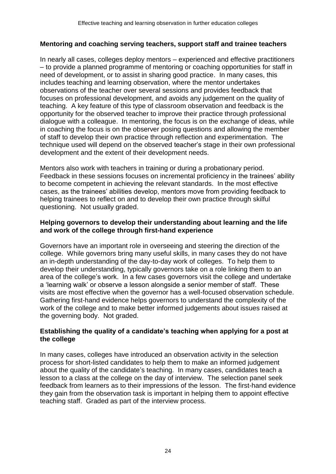#### **Mentoring and coaching serving teachers, support staff and trainee teachers**

In nearly all cases, colleges deploy mentors – experienced and effective practitioners – to provide a planned programme of mentoring or coaching opportunities for staff in need of development, or to assist in sharing good practice. In many cases, this includes teaching and learning observation, where the mentor undertakes observations of the teacher over several sessions and provides feedback that focuses on professional development, and avoids any judgement on the quality of teaching. A key feature of this type of classroom observation and feedback is the opportunity for the observed teacher to improve their practice through professional dialogue with a colleague. In mentoring, the focus is on the exchange of ideas, while in coaching the focus is on the observer posing questions and allowing the member of staff to develop their own practice through reflection and experimentation. The technique used will depend on the observed teacher's stage in their own professional development and the extent of their development needs.

Mentors also work with teachers in training or during a probationary period. Feedback in these sessions focuses on incremental proficiency in the trainees' ability to become competent in achieving the relevant standards. In the most effective cases, as the trainees' abilities develop, mentors move from providing feedback to helping trainees to reflect on and to develop their own practice through skilful questioning. Not usually graded.

#### **Helping governors to develop their understanding about learning and the life and work of the college through first-hand experience**

Governors have an important role in overseeing and steering the direction of the college. While governors bring many useful skills, in many cases they do not have an in-depth understanding of the day-to-day work of colleges. To help them to develop their understanding, typically governors take on a role linking them to an area of the college's work. In a few cases governors visit the college and undertake a 'learning walk' or observe a lesson alongside a senior member of staff. These visits are most effective when the governor has a well-focused observation schedule. Gathering first-hand evidence helps governors to understand the complexity of the work of the college and to make better informed judgements about issues raised at the governing body. Not graded.

#### **Establishing the quality of a candidate's teaching when applying for a post at the college**

In many cases, colleges have introduced an observation activity in the selection process for short-listed candidates to help them to make an informed judgement about the quality of the candidate's teaching. In many cases, candidates teach a lesson to a class at the college on the day of interview. The selection panel seek feedback from learners as to their impressions of the lesson. The first-hand evidence they gain from the observation task is important in helping them to appoint effective teaching staff. Graded as part of the interview process.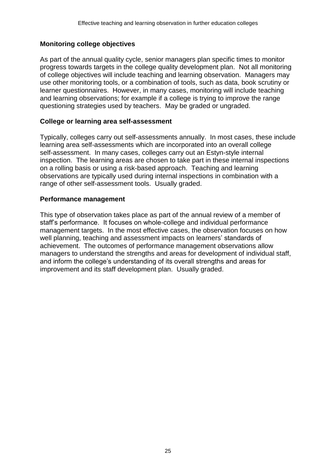#### **Monitoring college objectives**

As part of the annual quality cycle, senior managers plan specific times to monitor progress towards targets in the college quality development plan. Not all monitoring of college objectives will include teaching and learning observation. Managers may use other monitoring tools, or a combination of tools, such as data, book scrutiny or learner questionnaires. However, in many cases, monitoring will include teaching and learning observations; for example if a college is trying to improve the range questioning strategies used by teachers. May be graded or ungraded.

#### **College or learning area self-assessment**

Typically, colleges carry out self-assessments annually. In most cases, these include learning area self-assessments which are incorporated into an overall college self-assessment. In many cases, colleges carry out an Estyn-style internal inspection. The learning areas are chosen to take part in these internal inspections on a rolling basis or using a risk-based approach. Teaching and learning observations are typically used during internal inspections in combination with a range of other self-assessment tools. Usually graded.

#### **Performance management**

This type of observation takes place as part of the annual review of a member of staff's performance. It focuses on whole-college and individual performance management targets. In the most effective cases, the observation focuses on how well planning, teaching and assessment impacts on learners' standards of achievement. The outcomes of performance management observations allow managers to understand the strengths and areas for development of individual staff, and inform the college's understanding of its overall strengths and areas for improvement and its staff development plan. Usually graded.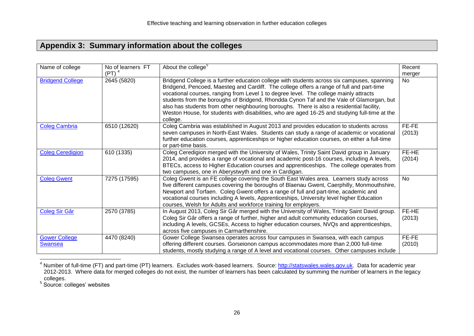## **Appendix 3: Summary information about the colleges**

| Name of college                        | No of learners FT<br>$(PT)^4$ | About the college <sup>5</sup>                                                                                                                                                                                                                                                                                                                                                                                                                                                                                                                                                          | Recent<br>merger |
|----------------------------------------|-------------------------------|-----------------------------------------------------------------------------------------------------------------------------------------------------------------------------------------------------------------------------------------------------------------------------------------------------------------------------------------------------------------------------------------------------------------------------------------------------------------------------------------------------------------------------------------------------------------------------------------|------------------|
| <b>Bridgend College</b>                | 2645 (5820)                   | Bridgend College is a further education college with students across six campuses, spanning<br>Bridgend, Pencoed, Maesteg and Cardiff. The college offers a range of full and part-time<br>vocational courses, ranging from Level 1 to degree level. The college mainly attracts<br>students from the boroughs of Bridgend, Rhondda Cynon Taf and the Vale of Glamorgan, but<br>also has students from other neighbouring boroughs. There is also a residential facility,<br>Weston House, for students with disabilities, who are aged 16-25 and studying full-time at the<br>college. | No               |
| <b>Coleg Cambria</b>                   | 6510 (12620)                  | Coleg Cambria was established in August 2013 and provides education to students across<br>seven campuses in North-East Wales. Students can study a range of academic or vocational<br>further education courses, apprenticeships or higher education courses, on either a full-time<br>or part-time basis.                                                                                                                                                                                                                                                                              | FE-FE<br>(2013)  |
| <b>Coleg Ceredigion</b>                | 610 (1335)                    | Coleg Ceredigion merged with the University of Wales, Trinity Saint David group in January<br>2014, and provides a range of vocational and academic post-16 courses, including A levels,<br>BTECs, access to Higher Education courses and apprenticeships. The college operates from<br>two campuses, one in Aberystwyth and one in Cardigan.                                                                                                                                                                                                                                           | FE-HE<br>(2014)  |
| <b>Coleg Gwent</b>                     | 7275 (17595)                  | Coleg Gwent is an FE college covering the South East Wales area. Learners study across<br>five different campuses covering the boroughs of Blaenau Gwent, Caerphilly, Monmouthshire,<br>Newport and Torfaen. Coleg Gwent offers a range of full and part-time, academic and<br>vocational courses including A levels, Apprenticeships, University level higher Education<br>courses, Welsh for Adults and workforce training for employers.                                                                                                                                             | No               |
| Coleg Sir Gâr                          | 2570 (3785)                   | In August 2013, Coleg Sir Gâr merged with the University of Wales, Trinity Saint David group.<br>Coleg Sir Gâr offers a range of further, higher and adult community education courses,<br>including A levels, GCSEs, Access to higher education courses, NVQs and apprenticeships,<br>across five campuses in Carmarthenshire.                                                                                                                                                                                                                                                         | FE-HE<br>(2013)  |
| <b>Gower College</b><br><b>Swansea</b> | 4470 (8240)                   | Gower College Swansea operates across four campuses in Swansea, with each campus<br>offering different courses. Gorseionon campus accommodates more than 2,000 full-time<br>students, mostly studying a range of A level and vocational courses. Other campuses include                                                                                                                                                                                                                                                                                                                 | FE-FE<br>(2010)  |

<sup>&</sup>lt;sup>4</sup> Number of full-time (FT) and part-time (PT) learners. Excludes work-based learners. Source: [http://statswales.wales.gov.uk.](http://statswales.wales.gov.uk/) Data for academic year 2012-2013. Where data for merged colleges do not exist, the number of learners has been calculated by summing the number of learners in the legacy \_colleges.<br><sup>5</sup> Source: colleges' websites

l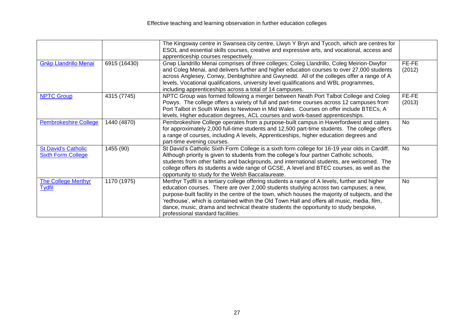|                                                         |              | The Kingsway centre in Swansea city centre, Llwyn Y Bryn and Tycoch, which are centres for<br>ESOL and essential skills courses, creative and expressive arts, and vocational, access and<br>apprenticeship courses respectively.                                                                                                                                                                                                                                                                                      |                 |
|---------------------------------------------------------|--------------|------------------------------------------------------------------------------------------------------------------------------------------------------------------------------------------------------------------------------------------------------------------------------------------------------------------------------------------------------------------------------------------------------------------------------------------------------------------------------------------------------------------------|-----------------|
| Grŵp Llandrillo Menai                                   | 6915 (16430) | Grwp Llandrillo Menai comprises of three colleges; Coleg Llandrillo, Coleg Meirion-Dwyfor<br>and Coleg Menai, and delivers further and higher education courses to over 27,000 students<br>across Anglesey, Conwy, Denbighshire and Gwynedd. All of the colleges offer a range of A<br>levels, Vocational qualifications, university level qualifications and WBL programmes,<br>including apprenticeships across a total of 14 campuses.                                                                              | FE-FE<br>(2012) |
| <b>NPTC Group</b>                                       | 4315 (7745)  | NPTC Group was formed following a merger between Neath Port Talbot College and Coleg<br>Powys. The college offers a variety of full and part-time courses across 12 campuses from<br>Port Talbot in South Wales to Newtown in Mid Wales. Courses on offer include BTECs, A<br>levels, Higher education degrees, ACL courses and work-based apprenticeships.                                                                                                                                                            | FE-FE<br>(2013) |
| <b>Pembrokeshire College</b>                            | 1440 (4870)  | Pembrokeshire College operates from a purpose-built campus in Haverfordwest and caters<br>for approximately 2,000 full-time students and 12,500 part-time students. The college offers<br>a range of courses, including A levels, Apprenticeships, higher education degrees and<br>part-time evening courses.                                                                                                                                                                                                          | <b>No</b>       |
| <b>St David's Catholic</b><br><b>Sixth Form College</b> | 1455 (90)    | St David's Catholic Sixth Form College is a sixth form college for 16-19 year olds in Cardiff.<br>Although priority is given to students from the college's four partner Catholic schools,<br>students from other faiths and backgrounds, and international students, are welcomed. The<br>college offers its students a wide range of GCSE, A level and BTEC courses, as well as the<br>opportunity to study for the Welsh Baccalaureate.                                                                             | <b>No</b>       |
| <b>The College Merthyr</b><br><b>Tydfil</b>             | 1170 (1975)  | Merthyr Tydfil is a tertiary college offering students a range of A levels, further and higher<br>education courses. There are over 2,000 students studying across two campuses; a new,<br>purpose-built facility in the centre of the town, which houses the majority of subjects, and the<br>'redhouse', which is contained within the Old Town Hall and offers all music, media, film,<br>dance, music, drama and technical theatre students the opportunity to study bespoke,<br>professional standard facilities. | No              |